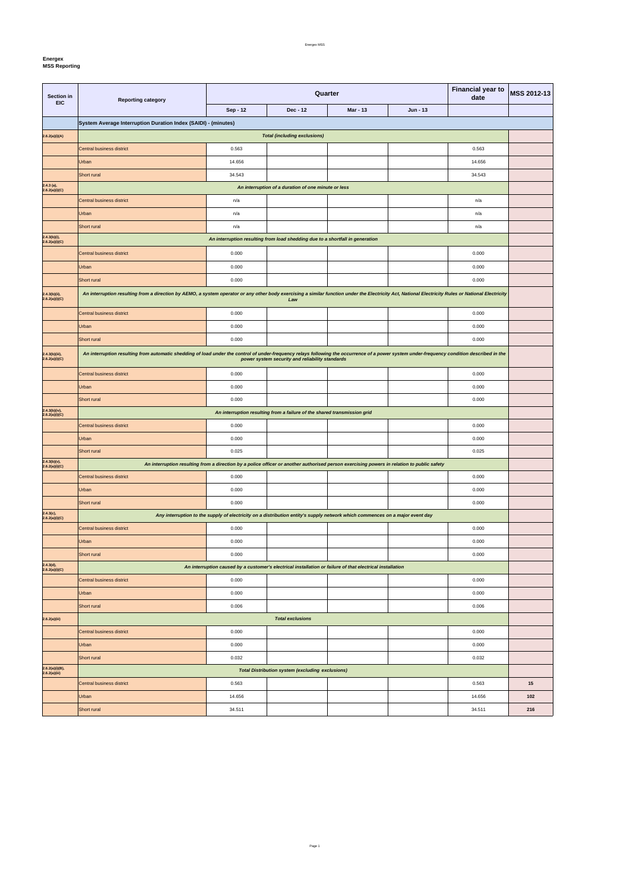**Energex**

| <b>Mar - 13</b><br>Sep - 12<br>Dec - 12<br>Jun - 13<br>System Average Interruption Duration Index (SAIDI) - (minutes)<br><b>Total (including exclusions)</b><br>0.563<br>0.563<br>Central business district<br>Urban<br>14.656<br>14.656<br>Short rural<br>34.543<br>34.543<br>An interruption of a duration of one minute or less<br>Central business district<br>n/a<br>n/a<br>Urban<br>n/a<br>n/a<br>Short rural<br>n/a<br>n/a<br>An interruption resulting from load shedding due to a shortfall in generation<br>0.000<br>Central business district<br>0.000<br>Urban<br>0.000<br>0.000<br>Short rural<br>0.000<br>0.000<br>An interruption resulting from a direction by AEMO, a system operator or any other body exercising a similar function under the Electricity Act, National Electricity Rules or National Electricity<br>Law<br>0.000<br>0.000<br>Central business district<br>Urban<br>0.000<br>0.000<br>Short rural<br>0.000<br>0.000<br>An interruption resulting from automatic shedding of load under the control of under-frequency relays following the occurrence of a power system under-frequency condition described in the<br>power system security and reliability standards<br>0.000<br>0.000<br>Central business district<br>Urban<br>0.000<br>0.000<br>Short rural<br>0.000<br>0.000<br>An interruption resulting from a failure of the shared transmission grid<br>0.000<br>0.000<br>Central business district<br>Urban<br>0.000<br>0.000<br>Short rural<br>0.025<br>0.025<br>An interruption resulting from a direction by a police officer or another authorised person exercising powers in relation to public safety<br>0.000<br>0.000<br>Central business district<br>0.000<br>0.000<br>Urban<br>Short rural<br>0.000<br>0.000<br>2.4.3(c),<br>2.6.2(a)(i)(C)<br>Any interruption to the supply of electricity on a distribution entity's supply network which commences on a major event day<br>Central business district<br>0.000<br>0.000<br>Urban<br>0.000<br>0.000<br>Short rural<br>0.000<br>0.000<br>2.4.3(d),<br>2.6.2(a)(i)(C)<br>An interruption caused by a customer's electrical installation or failure of that electrical installation<br>0.000<br>0.000<br>Central business district<br>0.000<br>0.000<br>Urban<br>Short rural<br>0.006<br>0.006<br><b>Total exclusions</b><br>0.000<br>Central business district<br>0.000 | Section in<br><b>EIC</b>         | <b>Reporting category</b> |  | Quarter | <b>Financial year to</b><br>date | <b>MSS 2012-13</b> |  |  |
|--------------------------------------------------------------------------------------------------------------------------------------------------------------------------------------------------------------------------------------------------------------------------------------------------------------------------------------------------------------------------------------------------------------------------------------------------------------------------------------------------------------------------------------------------------------------------------------------------------------------------------------------------------------------------------------------------------------------------------------------------------------------------------------------------------------------------------------------------------------------------------------------------------------------------------------------------------------------------------------------------------------------------------------------------------------------------------------------------------------------------------------------------------------------------------------------------------------------------------------------------------------------------------------------------------------------------------------------------------------------------------------------------------------------------------------------------------------------------------------------------------------------------------------------------------------------------------------------------------------------------------------------------------------------------------------------------------------------------------------------------------------------------------------------------------------------------------------------------------------------------------------------------------------------------------------------------------------------------------------------------------------------------------------------------------------------------------------------------------------------------------------------------------------------------------------------------------------------------------------------------------------------------------------------------------------------------------------------------------------------------------|----------------------------------|---------------------------|--|---------|----------------------------------|--------------------|--|--|
|                                                                                                                                                                                                                                                                                                                                                                                                                                                                                                                                                                                                                                                                                                                                                                                                                                                                                                                                                                                                                                                                                                                                                                                                                                                                                                                                                                                                                                                                                                                                                                                                                                                                                                                                                                                                                                                                                                                                                                                                                                                                                                                                                                                                                                                                                                                                                                                |                                  |                           |  |         |                                  |                    |  |  |
|                                                                                                                                                                                                                                                                                                                                                                                                                                                                                                                                                                                                                                                                                                                                                                                                                                                                                                                                                                                                                                                                                                                                                                                                                                                                                                                                                                                                                                                                                                                                                                                                                                                                                                                                                                                                                                                                                                                                                                                                                                                                                                                                                                                                                                                                                                                                                                                |                                  |                           |  |         |                                  |                    |  |  |
|                                                                                                                                                                                                                                                                                                                                                                                                                                                                                                                                                                                                                                                                                                                                                                                                                                                                                                                                                                                                                                                                                                                                                                                                                                                                                                                                                                                                                                                                                                                                                                                                                                                                                                                                                                                                                                                                                                                                                                                                                                                                                                                                                                                                                                                                                                                                                                                | 2.6.2(a)(i)(A)                   |                           |  |         |                                  |                    |  |  |
|                                                                                                                                                                                                                                                                                                                                                                                                                                                                                                                                                                                                                                                                                                                                                                                                                                                                                                                                                                                                                                                                                                                                                                                                                                                                                                                                                                                                                                                                                                                                                                                                                                                                                                                                                                                                                                                                                                                                                                                                                                                                                                                                                                                                                                                                                                                                                                                |                                  |                           |  |         |                                  |                    |  |  |
|                                                                                                                                                                                                                                                                                                                                                                                                                                                                                                                                                                                                                                                                                                                                                                                                                                                                                                                                                                                                                                                                                                                                                                                                                                                                                                                                                                                                                                                                                                                                                                                                                                                                                                                                                                                                                                                                                                                                                                                                                                                                                                                                                                                                                                                                                                                                                                                |                                  |                           |  |         |                                  |                    |  |  |
|                                                                                                                                                                                                                                                                                                                                                                                                                                                                                                                                                                                                                                                                                                                                                                                                                                                                                                                                                                                                                                                                                                                                                                                                                                                                                                                                                                                                                                                                                                                                                                                                                                                                                                                                                                                                                                                                                                                                                                                                                                                                                                                                                                                                                                                                                                                                                                                |                                  |                           |  |         |                                  |                    |  |  |
|                                                                                                                                                                                                                                                                                                                                                                                                                                                                                                                                                                                                                                                                                                                                                                                                                                                                                                                                                                                                                                                                                                                                                                                                                                                                                                                                                                                                                                                                                                                                                                                                                                                                                                                                                                                                                                                                                                                                                                                                                                                                                                                                                                                                                                                                                                                                                                                | $2.4.3$ (a),<br>2.6.2(a)(i)(C)   |                           |  |         |                                  |                    |  |  |
|                                                                                                                                                                                                                                                                                                                                                                                                                                                                                                                                                                                                                                                                                                                                                                                                                                                                                                                                                                                                                                                                                                                                                                                                                                                                                                                                                                                                                                                                                                                                                                                                                                                                                                                                                                                                                                                                                                                                                                                                                                                                                                                                                                                                                                                                                                                                                                                |                                  |                           |  |         |                                  |                    |  |  |
|                                                                                                                                                                                                                                                                                                                                                                                                                                                                                                                                                                                                                                                                                                                                                                                                                                                                                                                                                                                                                                                                                                                                                                                                                                                                                                                                                                                                                                                                                                                                                                                                                                                                                                                                                                                                                                                                                                                                                                                                                                                                                                                                                                                                                                                                                                                                                                                |                                  |                           |  |         |                                  |                    |  |  |
|                                                                                                                                                                                                                                                                                                                                                                                                                                                                                                                                                                                                                                                                                                                                                                                                                                                                                                                                                                                                                                                                                                                                                                                                                                                                                                                                                                                                                                                                                                                                                                                                                                                                                                                                                                                                                                                                                                                                                                                                                                                                                                                                                                                                                                                                                                                                                                                |                                  |                           |  |         |                                  |                    |  |  |
|                                                                                                                                                                                                                                                                                                                                                                                                                                                                                                                                                                                                                                                                                                                                                                                                                                                                                                                                                                                                                                                                                                                                                                                                                                                                                                                                                                                                                                                                                                                                                                                                                                                                                                                                                                                                                                                                                                                                                                                                                                                                                                                                                                                                                                                                                                                                                                                | 2.4.3(b)(i),<br>2.6.2(a)(i)(C)   |                           |  |         |                                  |                    |  |  |
|                                                                                                                                                                                                                                                                                                                                                                                                                                                                                                                                                                                                                                                                                                                                                                                                                                                                                                                                                                                                                                                                                                                                                                                                                                                                                                                                                                                                                                                                                                                                                                                                                                                                                                                                                                                                                                                                                                                                                                                                                                                                                                                                                                                                                                                                                                                                                                                |                                  |                           |  |         |                                  |                    |  |  |
|                                                                                                                                                                                                                                                                                                                                                                                                                                                                                                                                                                                                                                                                                                                                                                                                                                                                                                                                                                                                                                                                                                                                                                                                                                                                                                                                                                                                                                                                                                                                                                                                                                                                                                                                                                                                                                                                                                                                                                                                                                                                                                                                                                                                                                                                                                                                                                                |                                  |                           |  |         |                                  |                    |  |  |
|                                                                                                                                                                                                                                                                                                                                                                                                                                                                                                                                                                                                                                                                                                                                                                                                                                                                                                                                                                                                                                                                                                                                                                                                                                                                                                                                                                                                                                                                                                                                                                                                                                                                                                                                                                                                                                                                                                                                                                                                                                                                                                                                                                                                                                                                                                                                                                                |                                  |                           |  |         |                                  |                    |  |  |
|                                                                                                                                                                                                                                                                                                                                                                                                                                                                                                                                                                                                                                                                                                                                                                                                                                                                                                                                                                                                                                                                                                                                                                                                                                                                                                                                                                                                                                                                                                                                                                                                                                                                                                                                                                                                                                                                                                                                                                                                                                                                                                                                                                                                                                                                                                                                                                                | 2.4.3(b)(ii),<br>2.6.2(a)(i)(C)  |                           |  |         |                                  |                    |  |  |
|                                                                                                                                                                                                                                                                                                                                                                                                                                                                                                                                                                                                                                                                                                                                                                                                                                                                                                                                                                                                                                                                                                                                                                                                                                                                                                                                                                                                                                                                                                                                                                                                                                                                                                                                                                                                                                                                                                                                                                                                                                                                                                                                                                                                                                                                                                                                                                                |                                  |                           |  |         |                                  |                    |  |  |
|                                                                                                                                                                                                                                                                                                                                                                                                                                                                                                                                                                                                                                                                                                                                                                                                                                                                                                                                                                                                                                                                                                                                                                                                                                                                                                                                                                                                                                                                                                                                                                                                                                                                                                                                                                                                                                                                                                                                                                                                                                                                                                                                                                                                                                                                                                                                                                                |                                  |                           |  |         |                                  |                    |  |  |
|                                                                                                                                                                                                                                                                                                                                                                                                                                                                                                                                                                                                                                                                                                                                                                                                                                                                                                                                                                                                                                                                                                                                                                                                                                                                                                                                                                                                                                                                                                                                                                                                                                                                                                                                                                                                                                                                                                                                                                                                                                                                                                                                                                                                                                                                                                                                                                                |                                  |                           |  |         |                                  |                    |  |  |
|                                                                                                                                                                                                                                                                                                                                                                                                                                                                                                                                                                                                                                                                                                                                                                                                                                                                                                                                                                                                                                                                                                                                                                                                                                                                                                                                                                                                                                                                                                                                                                                                                                                                                                                                                                                                                                                                                                                                                                                                                                                                                                                                                                                                                                                                                                                                                                                | 2.4.3(b)(iii),<br>2.6.2(a)(i)(C) |                           |  |         |                                  |                    |  |  |
|                                                                                                                                                                                                                                                                                                                                                                                                                                                                                                                                                                                                                                                                                                                                                                                                                                                                                                                                                                                                                                                                                                                                                                                                                                                                                                                                                                                                                                                                                                                                                                                                                                                                                                                                                                                                                                                                                                                                                                                                                                                                                                                                                                                                                                                                                                                                                                                |                                  |                           |  |         |                                  |                    |  |  |
|                                                                                                                                                                                                                                                                                                                                                                                                                                                                                                                                                                                                                                                                                                                                                                                                                                                                                                                                                                                                                                                                                                                                                                                                                                                                                                                                                                                                                                                                                                                                                                                                                                                                                                                                                                                                                                                                                                                                                                                                                                                                                                                                                                                                                                                                                                                                                                                |                                  |                           |  |         |                                  |                    |  |  |
|                                                                                                                                                                                                                                                                                                                                                                                                                                                                                                                                                                                                                                                                                                                                                                                                                                                                                                                                                                                                                                                                                                                                                                                                                                                                                                                                                                                                                                                                                                                                                                                                                                                                                                                                                                                                                                                                                                                                                                                                                                                                                                                                                                                                                                                                                                                                                                                |                                  |                           |  |         |                                  |                    |  |  |
|                                                                                                                                                                                                                                                                                                                                                                                                                                                                                                                                                                                                                                                                                                                                                                                                                                                                                                                                                                                                                                                                                                                                                                                                                                                                                                                                                                                                                                                                                                                                                                                                                                                                                                                                                                                                                                                                                                                                                                                                                                                                                                                                                                                                                                                                                                                                                                                | 2.4.3(b)(iv),<br>2.6.2(a)(i)(C)  |                           |  |         |                                  |                    |  |  |
|                                                                                                                                                                                                                                                                                                                                                                                                                                                                                                                                                                                                                                                                                                                                                                                                                                                                                                                                                                                                                                                                                                                                                                                                                                                                                                                                                                                                                                                                                                                                                                                                                                                                                                                                                                                                                                                                                                                                                                                                                                                                                                                                                                                                                                                                                                                                                                                |                                  |                           |  |         |                                  |                    |  |  |
|                                                                                                                                                                                                                                                                                                                                                                                                                                                                                                                                                                                                                                                                                                                                                                                                                                                                                                                                                                                                                                                                                                                                                                                                                                                                                                                                                                                                                                                                                                                                                                                                                                                                                                                                                                                                                                                                                                                                                                                                                                                                                                                                                                                                                                                                                                                                                                                |                                  |                           |  |         |                                  |                    |  |  |
|                                                                                                                                                                                                                                                                                                                                                                                                                                                                                                                                                                                                                                                                                                                                                                                                                                                                                                                                                                                                                                                                                                                                                                                                                                                                                                                                                                                                                                                                                                                                                                                                                                                                                                                                                                                                                                                                                                                                                                                                                                                                                                                                                                                                                                                                                                                                                                                |                                  |                           |  |         |                                  |                    |  |  |
|                                                                                                                                                                                                                                                                                                                                                                                                                                                                                                                                                                                                                                                                                                                                                                                                                                                                                                                                                                                                                                                                                                                                                                                                                                                                                                                                                                                                                                                                                                                                                                                                                                                                                                                                                                                                                                                                                                                                                                                                                                                                                                                                                                                                                                                                                                                                                                                | $2.4.3(b)(v),$<br>2.6.2(a)(i)(C) |                           |  |         |                                  |                    |  |  |
|                                                                                                                                                                                                                                                                                                                                                                                                                                                                                                                                                                                                                                                                                                                                                                                                                                                                                                                                                                                                                                                                                                                                                                                                                                                                                                                                                                                                                                                                                                                                                                                                                                                                                                                                                                                                                                                                                                                                                                                                                                                                                                                                                                                                                                                                                                                                                                                |                                  |                           |  |         |                                  |                    |  |  |
|                                                                                                                                                                                                                                                                                                                                                                                                                                                                                                                                                                                                                                                                                                                                                                                                                                                                                                                                                                                                                                                                                                                                                                                                                                                                                                                                                                                                                                                                                                                                                                                                                                                                                                                                                                                                                                                                                                                                                                                                                                                                                                                                                                                                                                                                                                                                                                                |                                  |                           |  |         |                                  |                    |  |  |
|                                                                                                                                                                                                                                                                                                                                                                                                                                                                                                                                                                                                                                                                                                                                                                                                                                                                                                                                                                                                                                                                                                                                                                                                                                                                                                                                                                                                                                                                                                                                                                                                                                                                                                                                                                                                                                                                                                                                                                                                                                                                                                                                                                                                                                                                                                                                                                                |                                  |                           |  |         |                                  |                    |  |  |
|                                                                                                                                                                                                                                                                                                                                                                                                                                                                                                                                                                                                                                                                                                                                                                                                                                                                                                                                                                                                                                                                                                                                                                                                                                                                                                                                                                                                                                                                                                                                                                                                                                                                                                                                                                                                                                                                                                                                                                                                                                                                                                                                                                                                                                                                                                                                                                                |                                  |                           |  |         |                                  |                    |  |  |
|                                                                                                                                                                                                                                                                                                                                                                                                                                                                                                                                                                                                                                                                                                                                                                                                                                                                                                                                                                                                                                                                                                                                                                                                                                                                                                                                                                                                                                                                                                                                                                                                                                                                                                                                                                                                                                                                                                                                                                                                                                                                                                                                                                                                                                                                                                                                                                                |                                  |                           |  |         |                                  |                    |  |  |
|                                                                                                                                                                                                                                                                                                                                                                                                                                                                                                                                                                                                                                                                                                                                                                                                                                                                                                                                                                                                                                                                                                                                                                                                                                                                                                                                                                                                                                                                                                                                                                                                                                                                                                                                                                                                                                                                                                                                                                                                                                                                                                                                                                                                                                                                                                                                                                                |                                  |                           |  |         |                                  |                    |  |  |
|                                                                                                                                                                                                                                                                                                                                                                                                                                                                                                                                                                                                                                                                                                                                                                                                                                                                                                                                                                                                                                                                                                                                                                                                                                                                                                                                                                                                                                                                                                                                                                                                                                                                                                                                                                                                                                                                                                                                                                                                                                                                                                                                                                                                                                                                                                                                                                                |                                  |                           |  |         |                                  |                    |  |  |
|                                                                                                                                                                                                                                                                                                                                                                                                                                                                                                                                                                                                                                                                                                                                                                                                                                                                                                                                                                                                                                                                                                                                                                                                                                                                                                                                                                                                                                                                                                                                                                                                                                                                                                                                                                                                                                                                                                                                                                                                                                                                                                                                                                                                                                                                                                                                                                                |                                  |                           |  |         |                                  |                    |  |  |
|                                                                                                                                                                                                                                                                                                                                                                                                                                                                                                                                                                                                                                                                                                                                                                                                                                                                                                                                                                                                                                                                                                                                                                                                                                                                                                                                                                                                                                                                                                                                                                                                                                                                                                                                                                                                                                                                                                                                                                                                                                                                                                                                                                                                                                                                                                                                                                                |                                  |                           |  |         |                                  |                    |  |  |
|                                                                                                                                                                                                                                                                                                                                                                                                                                                                                                                                                                                                                                                                                                                                                                                                                                                                                                                                                                                                                                                                                                                                                                                                                                                                                                                                                                                                                                                                                                                                                                                                                                                                                                                                                                                                                                                                                                                                                                                                                                                                                                                                                                                                                                                                                                                                                                                |                                  |                           |  |         |                                  |                    |  |  |
|                                                                                                                                                                                                                                                                                                                                                                                                                                                                                                                                                                                                                                                                                                                                                                                                                                                                                                                                                                                                                                                                                                                                                                                                                                                                                                                                                                                                                                                                                                                                                                                                                                                                                                                                                                                                                                                                                                                                                                                                                                                                                                                                                                                                                                                                                                                                                                                |                                  |                           |  |         |                                  |                    |  |  |
|                                                                                                                                                                                                                                                                                                                                                                                                                                                                                                                                                                                                                                                                                                                                                                                                                                                                                                                                                                                                                                                                                                                                                                                                                                                                                                                                                                                                                                                                                                                                                                                                                                                                                                                                                                                                                                                                                                                                                                                                                                                                                                                                                                                                                                                                                                                                                                                | 2.6.2(a)(iii)                    |                           |  |         |                                  |                    |  |  |
|                                                                                                                                                                                                                                                                                                                                                                                                                                                                                                                                                                                                                                                                                                                                                                                                                                                                                                                                                                                                                                                                                                                                                                                                                                                                                                                                                                                                                                                                                                                                                                                                                                                                                                                                                                                                                                                                                                                                                                                                                                                                                                                                                                                                                                                                                                                                                                                |                                  |                           |  |         |                                  |                    |  |  |
| Urban<br>0.000<br>0.000                                                                                                                                                                                                                                                                                                                                                                                                                                                                                                                                                                                                                                                                                                                                                                                                                                                                                                                                                                                                                                                                                                                                                                                                                                                                                                                                                                                                                                                                                                                                                                                                                                                                                                                                                                                                                                                                                                                                                                                                                                                                                                                                                                                                                                                                                                                                                        |                                  |                           |  |         |                                  |                    |  |  |
| Short rural<br>0.032<br>0.032<br><b>Total Distribution system (excluding exclusions)</b>                                                                                                                                                                                                                                                                                                                                                                                                                                                                                                                                                                                                                                                                                                                                                                                                                                                                                                                                                                                                                                                                                                                                                                                                                                                                                                                                                                                                                                                                                                                                                                                                                                                                                                                                                                                                                                                                                                                                                                                                                                                                                                                                                                                                                                                                                       | 2.6.2(a)(i)(B),                  |                           |  |         |                                  |                    |  |  |

**2.6.2(a)(i)(B), 2.6.2(a)(iii)**

| 2.0.2(a)(iii) |                           |        |  |  |        |     |  |
|---------------|---------------------------|--------|--|--|--------|-----|--|
|               | Central business district | 0.563  |  |  | 0.563  | 15  |  |
|               | Urban                     | 14.656 |  |  | 14.656 | 102 |  |
|               | Short rural               | 34.511 |  |  | 34.511 | 216 |  |

*Total Distribution system (excluding exclusions)*

Page 1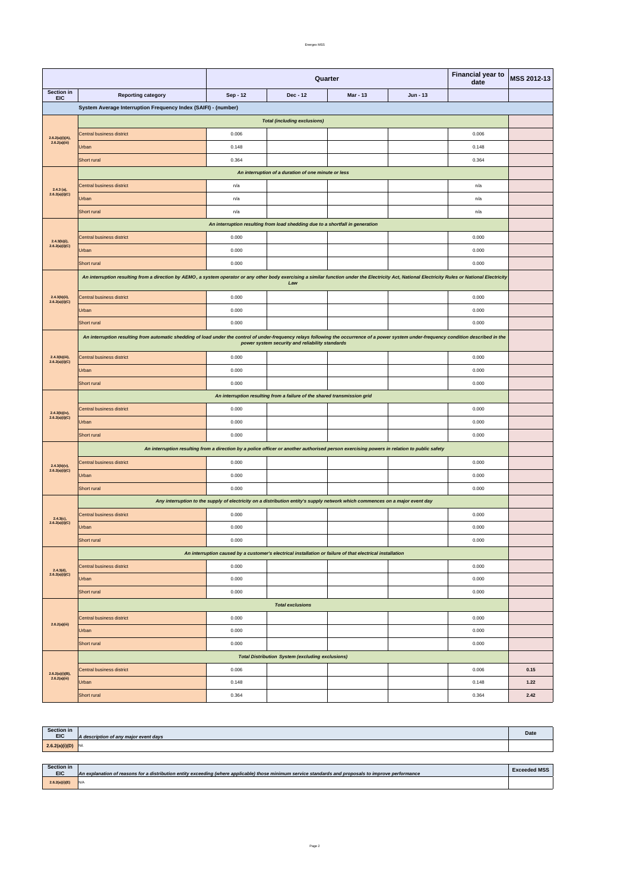| Section in<br><b>EIC</b> | A description of any major event days | <b>Date</b> |
|--------------------------|---------------------------------------|-------------|
| 2.6.2(a)(i)(D)           |                                       |             |

| <b>Section in</b><br><b>EIC</b> | An explanation of reasons for a distribution entity exceeding (where applicable) those minimum service standards and proposals to improve performance | <b>Exceeded MSS</b> |
|---------------------------------|-------------------------------------------------------------------------------------------------------------------------------------------------------|---------------------|
| 2.6.2(a)(i)(E)                  | N/A                                                                                                                                                   |                     |

|                                     |                                                                                                                                                                                                                                                | Quarter<br>date |                                                                                                                                            |                 |          | <b>Financial year to</b> | MSS 2012-13 |  |  |
|-------------------------------------|------------------------------------------------------------------------------------------------------------------------------------------------------------------------------------------------------------------------------------------------|-----------------|--------------------------------------------------------------------------------------------------------------------------------------------|-----------------|----------|--------------------------|-------------|--|--|
| Section in<br><b>EIC</b>            | <b>Reporting category</b>                                                                                                                                                                                                                      | Sep - 12        | $Dec - 12$                                                                                                                                 | <b>Mar - 13</b> | Jun - 13 |                          |             |  |  |
|                                     | System Average Interruption Frequency Index (SAIFI) - (number)                                                                                                                                                                                 |                 |                                                                                                                                            |                 |          |                          |             |  |  |
|                                     | <b>Total (including exclusions)</b>                                                                                                                                                                                                            |                 |                                                                                                                                            |                 |          |                          |             |  |  |
| 2.6.2(a)(i)(A),                     | Central business district                                                                                                                                                                                                                      | 0.006           |                                                                                                                                            |                 |          | 0.006                    |             |  |  |
| 2.6.2(a)(iii)                       | Urban                                                                                                                                                                                                                                          | 0.148           |                                                                                                                                            |                 |          | 0.148                    |             |  |  |
|                                     | <b>Short rural</b>                                                                                                                                                                                                                             | 0.364           |                                                                                                                                            |                 |          | 0.364                    |             |  |  |
|                                     | An interruption of a duration of one minute or less                                                                                                                                                                                            |                 |                                                                                                                                            |                 |          |                          |             |  |  |
| $2.4.3$ (a),                        | Central business district                                                                                                                                                                                                                      | n/a             |                                                                                                                                            |                 |          | n/a                      |             |  |  |
| 2.6.2(a)(i)(C)                      | Urban                                                                                                                                                                                                                                          | n/a             |                                                                                                                                            |                 |          | n/a                      |             |  |  |
|                                     | <b>Short rural</b>                                                                                                                                                                                                                             | n/a             |                                                                                                                                            |                 |          | n/a                      |             |  |  |
|                                     |                                                                                                                                                                                                                                                |                 | An interruption resulting from load shedding due to a shortfall in generation                                                              |                 |          |                          |             |  |  |
| $2.4.3(b)(i)$ ,                     | Central business district                                                                                                                                                                                                                      | 0.000           |                                                                                                                                            |                 |          | 0.000                    |             |  |  |
| 2.6.2(a)(i)(C)                      | Urban                                                                                                                                                                                                                                          | 0.000           |                                                                                                                                            |                 |          | 0.000                    |             |  |  |
|                                     | Short rural                                                                                                                                                                                                                                    | 0.000           |                                                                                                                                            |                 |          | 0.000                    |             |  |  |
|                                     | An interruption resulting from a direction by AEMO, a system operator or any other body exercising a similar function under the Electricity Act, National Electricity Rules or National Electricity                                            |                 | Law                                                                                                                                        |                 |          |                          |             |  |  |
| $2.4.3(b)(ii)$ ,                    | Central business district                                                                                                                                                                                                                      | 0.000           |                                                                                                                                            |                 |          | 0.000                    |             |  |  |
| 2.6.2(a)(i)(C)                      | Urban                                                                                                                                                                                                                                          | 0.000           |                                                                                                                                            |                 |          | 0.000                    |             |  |  |
|                                     | Short rural                                                                                                                                                                                                                                    | 0.000           |                                                                                                                                            |                 |          | 0.000                    |             |  |  |
|                                     |                                                                                                                                                                                                                                                |                 |                                                                                                                                            |                 |          |                          |             |  |  |
|                                     | An interruption resulting from automatic shedding of load under the control of under-frequency relays following the occurrence of a power system under-frequency condition described in the<br>power system security and reliability standards |                 |                                                                                                                                            |                 |          |                          |             |  |  |
| $2.4.3(b)(iii)$ ,<br>2.6.2(a)(i)(C) | Central business district                                                                                                                                                                                                                      | 0.000           |                                                                                                                                            |                 |          | 0.000                    |             |  |  |
|                                     | Urban                                                                                                                                                                                                                                          | 0.000           |                                                                                                                                            |                 |          | 0.000                    |             |  |  |
|                                     | Short rural                                                                                                                                                                                                                                    | 0.000           |                                                                                                                                            |                 |          | 0.000                    |             |  |  |
|                                     | An interruption resulting from a failure of the shared transmission grid                                                                                                                                                                       |                 |                                                                                                                                            |                 |          |                          |             |  |  |
| 2.4.3(b)(iv),                       | Central business district                                                                                                                                                                                                                      | 0.000           |                                                                                                                                            |                 |          | 0.000                    |             |  |  |
| 2.6.2(a)(i)(C)                      | Urban                                                                                                                                                                                                                                          | 0.000           |                                                                                                                                            |                 |          | 0.000                    |             |  |  |
|                                     | Short rural                                                                                                                                                                                                                                    | 0.000           |                                                                                                                                            |                 |          | 0.000                    |             |  |  |
|                                     |                                                                                                                                                                                                                                                |                 | An interruption resulting from a direction by a police officer or another authorised person exercising powers in relation to public safety |                 |          |                          |             |  |  |
| $2.4.3(b)(v)$ ,                     | Central business district                                                                                                                                                                                                                      | 0.000           |                                                                                                                                            |                 |          | 0.000                    |             |  |  |
| 2.6.2(a)(i)(C)                      | Urban                                                                                                                                                                                                                                          | 0.000           |                                                                                                                                            |                 |          | 0.000                    |             |  |  |
|                                     | Short rural                                                                                                                                                                                                                                    | 0.000           |                                                                                                                                            |                 |          | 0.000                    |             |  |  |
|                                     |                                                                                                                                                                                                                                                |                 | Any interruption to the supply of electricity on a distribution entity's supply network which commences on a major event day               |                 |          |                          |             |  |  |
| $2.4.3(c)$ ,                        | Central business district                                                                                                                                                                                                                      | 0.000           |                                                                                                                                            |                 |          | 0.000                    |             |  |  |
| 2.6.2(a)(i)(C)                      | Urban                                                                                                                                                                                                                                          | 0.000           |                                                                                                                                            |                 |          | 0.000                    |             |  |  |
|                                     | Short rural                                                                                                                                                                                                                                    | 0.000           |                                                                                                                                            |                 |          | 0.000                    |             |  |  |
|                                     |                                                                                                                                                                                                                                                |                 | An interruption caused by a customer's electrical installation or failure of that electrical installation                                  |                 |          |                          |             |  |  |
| 2.4.3(d),<br>2.6.2(a)(i)(C)         | Central business district                                                                                                                                                                                                                      | 0.000           |                                                                                                                                            |                 |          | 0.000                    |             |  |  |
|                                     | Urban                                                                                                                                                                                                                                          | 0.000           |                                                                                                                                            |                 |          | 0.000                    |             |  |  |
|                                     | Short rural                                                                                                                                                                                                                                    | 0.000           |                                                                                                                                            |                 |          | 0.000                    |             |  |  |
|                                     |                                                                                                                                                                                                                                                |                 | <b>Total exclusions</b>                                                                                                                    |                 |          |                          |             |  |  |
| 2.6.2(a)(iii)                       | Central business district                                                                                                                                                                                                                      | 0.000           |                                                                                                                                            |                 |          | 0.000                    |             |  |  |
|                                     | Urban                                                                                                                                                                                                                                          | 0.000           |                                                                                                                                            |                 |          | 0.000                    |             |  |  |
|                                     | Short rural                                                                                                                                                                                                                                    | 0.000           |                                                                                                                                            |                 |          | 0.000                    |             |  |  |
|                                     |                                                                                                                                                                                                                                                |                 | <b>Total Distribution System (excluding exclusions)</b>                                                                                    |                 |          |                          |             |  |  |
|                                     | Central business district                                                                                                                                                                                                                      | 0.006           |                                                                                                                                            |                 |          | 0.006                    | 0.15        |  |  |

|                                  | Short rural | 0.364 |  | 0.364 | 2.42 |
|----------------------------------|-------------|-------|--|-------|------|
| 2.6.2(a)(i)(B),<br>2.6.2(a)(iii) | Urban       | 0.148 |  | 0.148 | 1.22 |
|                                  |             |       |  |       |      |

Page 2